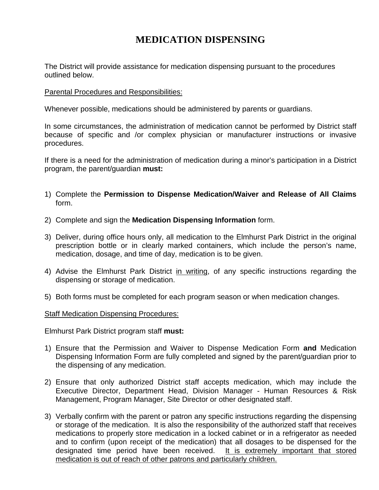# **MEDICATION DISPENSING**

The District will provide assistance for medication dispensing pursuant to the procedures outlined below.

#### Parental Procedures and Responsibilities:

Whenever possible, medications should be administered by parents or guardians.

In some circumstances, the administration of medication cannot be performed by District staff because of specific and /or complex physician or manufacturer instructions or invasive procedures.

If there is a need for the administration of medication during a minor's participation in a District program, the parent/guardian **must:**

- 1) Complete the **Permission to Dispense Medication/Waiver and Release of All Claims** form.
- 2) Complete and sign the **Medication Dispensing Information** form.
- 3) Deliver, during office hours only, all medication to the Elmhurst Park District in the original prescription bottle or in clearly marked containers, which include the person's name, medication, dosage, and time of day, medication is to be given.
- 4) Advise the Elmhurst Park District in writing, of any specific instructions regarding the dispensing or storage of medication.
- 5) Both forms must be completed for each program season or when medication changes.

#### Staff Medication Dispensing Procedures:

Elmhurst Park District program staff **must:**

- 1) Ensure that the Permission and Waiver to Dispense Medication Form **and** Medication Dispensing Information Form are fully completed and signed by the parent/guardian prior to the dispensing of any medication.
- 2) Ensure that only authorized District staff accepts medication, which may include the Executive Director, Department Head, Division Manager - Human Resources & Risk Management, Program Manager, Site Director or other designated staff.
- 3) Verbally confirm with the parent or patron any specific instructions regarding the dispensing or storage of the medication. It is also the responsibility of the authorized staff that receives medications to properly store medication in a locked cabinet or in a refrigerator as needed and to confirm (upon receipt of the medication) that all dosages to be dispensed for the designated time period have been received. It is extremely important that stored medication is out of reach of other patrons and particularly children.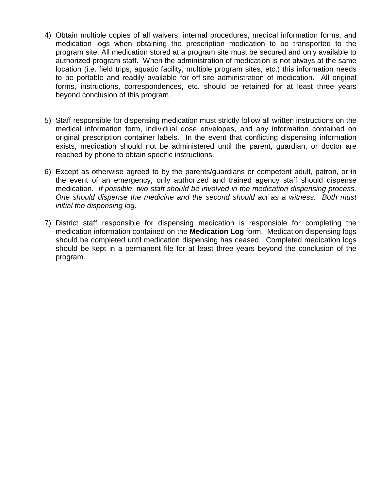- 4) Obtain multiple copies of all waivers, internal procedures, medical information forms, and medication logs when obtaining the prescription medication to be transported to the program site. All medication stored at a program site must be secured and only available to authorized program staff. When the administration of medication is not always at the same location (i.e. field trips, aquatic facility, multiple program sites, etc.) this information needs to be portable and readily available for off-site administration of medication. All original forms, instructions, correspondences, etc. should be retained for at least three years beyond conclusion of this program.
- 5) Staff responsible for dispensing medication must strictly follow all written instructions on the medical information form, individual dose envelopes, and any information contained on original prescription container labels. In the event that conflicting dispensing information exists, medication should not be administered until the parent, guardian, or doctor are reached by phone to obtain specific instructions.
- 6) Except as otherwise agreed to by the parents/guardians or competent adult, patron, or in the event of an emergency, only authorized and trained agency staff should dispense medication. *If possible, two staff should be involved in the medication dispensing process. One should dispense the medicine and the second should act as a witness. Both must initial the dispensing log.*
- 7) District staff responsible for dispensing medication is responsible for completing the medication information contained on the **Medication Log** form. Medication dispensing logs should be completed until medication dispensing has ceased. Completed medication logs should be kept in a permanent file for at least three years beyond the conclusion of the program.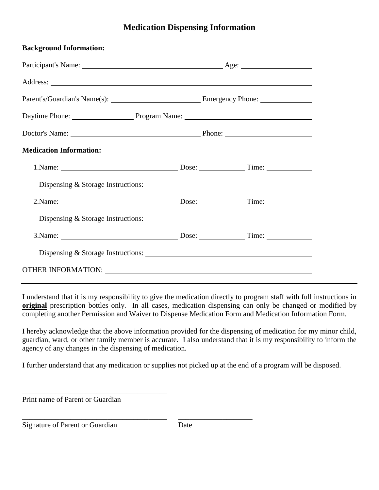## **Medication Dispensing Information**

| <b>Background Information:</b>                                                                                                                                                                                                |  |  |  |  |  |
|-------------------------------------------------------------------------------------------------------------------------------------------------------------------------------------------------------------------------------|--|--|--|--|--|
|                                                                                                                                                                                                                               |  |  |  |  |  |
|                                                                                                                                                                                                                               |  |  |  |  |  |
|                                                                                                                                                                                                                               |  |  |  |  |  |
| Daytime Phone: Phone: Program Name: Program Name:                                                                                                                                                                             |  |  |  |  |  |
|                                                                                                                                                                                                                               |  |  |  |  |  |
| <b>Medication Information:</b>                                                                                                                                                                                                |  |  |  |  |  |
|                                                                                                                                                                                                                               |  |  |  |  |  |
|                                                                                                                                                                                                                               |  |  |  |  |  |
|                                                                                                                                                                                                                               |  |  |  |  |  |
| Dispensing & Storage Instructions:                                                                                                                                                                                            |  |  |  |  |  |
|                                                                                                                                                                                                                               |  |  |  |  |  |
| Dispensing & Storage Instructions:                                                                                                                                                                                            |  |  |  |  |  |
| OTHER INFORMATION: University of the contract of the contract of the contract of the contract of the contract of the contract of the contract of the contract of the contract of the contract of the contract of the contract |  |  |  |  |  |

I understand that it is my responsibility to give the medication directly to program staff with full instructions in **original** prescription bottles only. In all cases, medication dispensing can only be changed or modified by completing another Permission and Waiver to Dispense Medication Form and Medication Information Form.

I hereby acknowledge that the above information provided for the dispensing of medication for my minor child, guardian, ward, or other family member is accurate. I also understand that it is my responsibility to inform the agency of any changes in the dispensing of medication.

I further understand that any medication or supplies not picked up at the end of a program will be disposed.

Print name of Parent or Guardian

\_\_\_\_\_\_\_\_\_\_\_\_\_\_\_\_\_\_\_\_\_\_\_\_\_\_\_\_\_\_\_\_\_\_\_\_\_\_\_

\_\_\_\_\_\_\_\_\_\_\_\_\_\_\_\_\_\_\_\_\_\_\_\_\_\_\_\_\_\_\_\_\_\_\_\_\_\_\_ \_\_\_\_\_\_\_\_\_\_\_\_\_\_\_\_\_\_\_\_

Signature of Parent or Guardian Date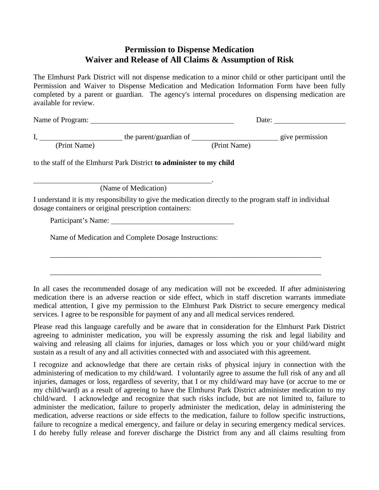### **Permission to Dispense Medication Waiver and Release of All Claims & Assumption of Risk**

The Elmhurst Park District will not dispense medication to a minor child or other participant until the Permission and Waiver to Dispense Medication and Medication Information Form have been fully completed by a parent or guardian. The agency's internal procedures on dispensing medication are available for review.

| Name of Program: |                        |              | Date:           |  |  |
|------------------|------------------------|--------------|-----------------|--|--|
|                  | the parent/guardian of |              | give permission |  |  |
| (Print Name)     |                        | (Print Name) |                 |  |  |

.

to the staff of the Elmhurst Park District **to administer to my child** 

(Name of Medication)

I understand it is my responsibility to give the medication directly to the program staff in individual dosage containers or original prescription containers:

Participant's Name:

Name of Medication and Complete Dosage Instructions:

In all cases the recommended dosage of any medication will not be exceeded. If after administering medication there is an adverse reaction or side effect, which in staff discretion warrants immediate medical attention, I give my permission to the Elmhurst Park District to secure emergency medical services. I agree to be responsible for payment of any and all medical services rendered.

\_\_\_\_\_\_\_\_\_\_\_\_\_\_\_\_\_\_\_\_\_\_\_\_\_\_\_\_\_\_\_\_\_\_\_\_\_\_\_\_\_\_\_\_\_\_\_\_\_\_\_\_\_\_\_\_\_\_\_\_\_\_\_\_\_\_\_\_\_\_\_\_\_

\_\_\_\_\_\_\_\_\_\_\_\_\_\_\_\_\_\_\_\_\_\_\_\_\_\_\_\_\_\_\_\_\_\_\_\_\_\_\_\_\_\_\_\_\_\_\_\_\_\_\_\_\_\_\_\_\_\_\_\_\_\_\_\_\_\_\_\_\_\_\_\_\_

Please read this language carefully and be aware that in consideration for the Elmhurst Park District agreeing to administer medication, you will be expressly assuming the risk and legal liability and waiving and releasing all claims for injuries, damages or loss which you or your child/ward might sustain as a result of any and all activities connected with and associated with this agreement.

I recognize and acknowledge that there are certain risks of physical injury in connection with the administering of medication to my child/ward. I voluntarily agree to assume the full risk of any and all injuries, damages or loss, regardless of severity, that I or my child/ward may have (or accrue to me or my child/ward) as a result of agreeing to have the Elmhurst Park District administer medication to my child/ward. I acknowledge and recognize that such risks include, but are not limited to, failure to administer the medication, failure to properly administer the medication, delay in administering the medication, adverse reactions or side effects to the medication, failure to follow specific instructions, failure to recognize a medical emergency, and failure or delay in securing emergency medical services. I do hereby fully release and forever discharge the District from any and all claims resulting from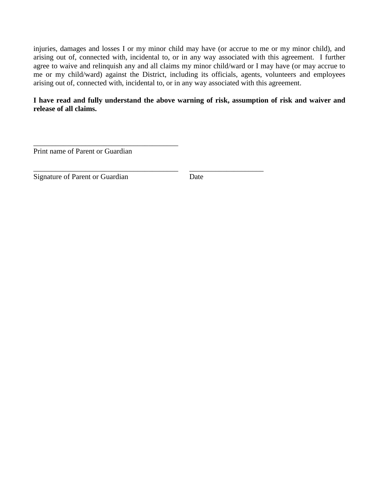injuries, damages and losses I or my minor child may have (or accrue to me or my minor child), and arising out of, connected with, incidental to, or in any way associated with this agreement. I further agree to waive and relinquish any and all claims my minor child/ward or I may have (or may accrue to me or my child/ward) against the District, including its officials, agents, volunteers and employees arising out of, connected with, incidental to, or in any way associated with this agreement.

**I have read and fully understand the above warning of risk, assumption of risk and waiver and release of all claims.** 

\_\_\_\_\_\_\_\_\_\_\_\_\_\_\_\_\_\_\_\_\_\_\_\_\_\_\_\_\_\_\_\_\_\_\_\_\_\_\_ Print name of Parent or Guardian

\_\_\_\_\_\_\_\_\_\_\_\_\_\_\_\_\_\_\_\_\_\_\_\_\_\_\_\_\_\_\_\_\_\_\_\_\_\_\_ \_\_\_\_\_\_\_\_\_\_\_\_\_\_\_\_\_\_\_\_ Signature of Parent or Guardian Date